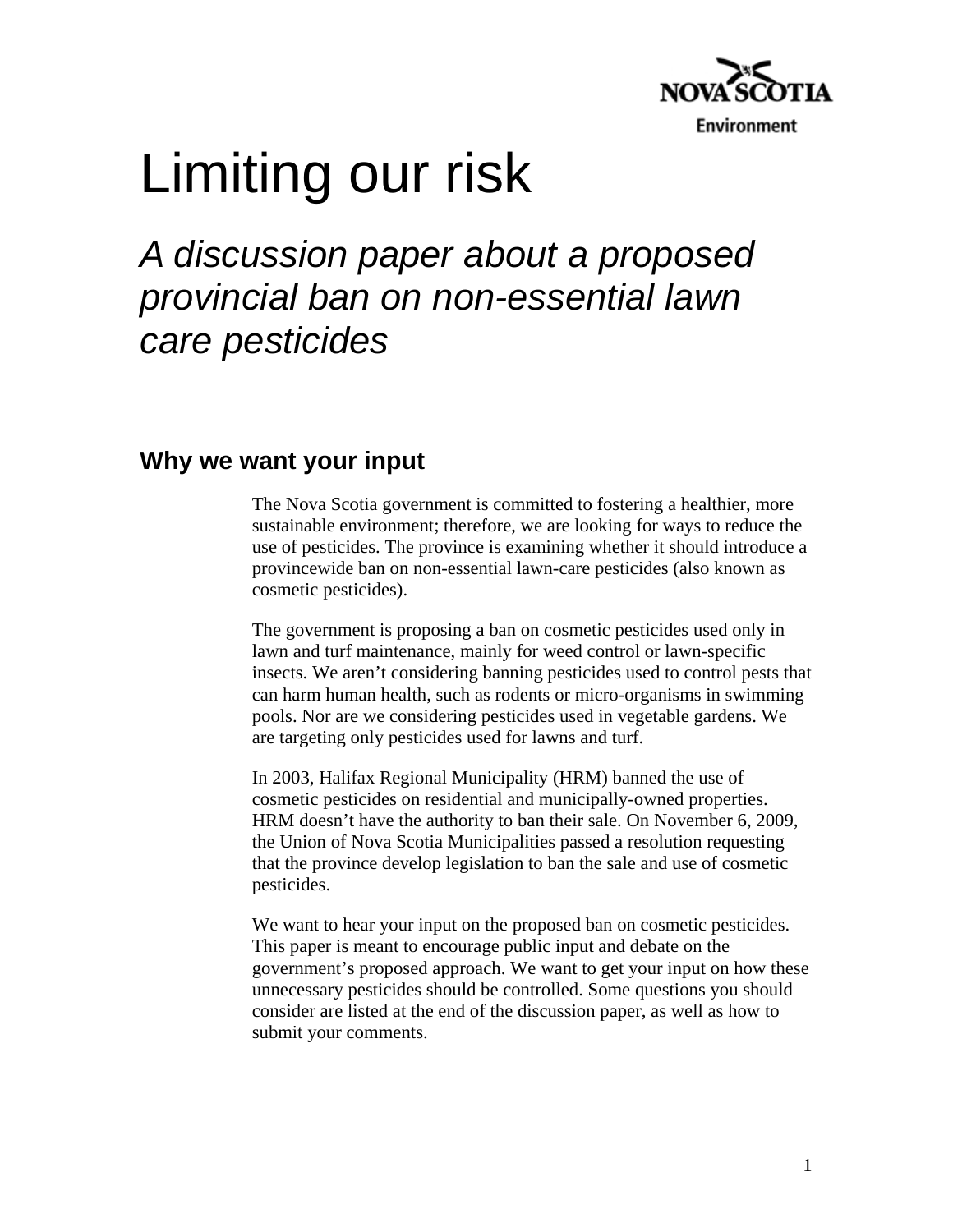

# Limiting our risk

## *A discussion paper about a proposed provincial ban on non-essential lawn care pesticides*

## **Why we want your input**

The Nova Scotia government is committed to fostering a healthier, more sustainable environment; therefore, we are looking for ways to reduce the use of pesticides. The province is examining whether it should introduce a provincewide ban on non-essential lawn-care pesticides (also known as cosmetic pesticides).

The government is proposing a ban on cosmetic pesticides used only in lawn and turf maintenance, mainly for weed control or lawn-specific insects. We aren't considering banning pesticides used to control pests that can harm human health, such as rodents or micro-organisms in swimming pools. Nor are we considering pesticides used in vegetable gardens. We are targeting only pesticides used for lawns and turf.

In 2003, Halifax Regional Municipality (HRM) banned the use of cosmetic pesticides on residential and municipally-owned properties. HRM doesn't have the authority to ban their sale. On November 6, 2009, the Union of Nova Scotia Municipalities passed a resolution requesting that the province develop legislation to ban the sale and use of cosmetic pesticides.

We want to hear your input on the proposed ban on cosmetic pesticides. This paper is meant to encourage public input and debate on the government's proposed approach. We want to get your input on how these unnecessary pesticides should be controlled. Some questions you should consider are listed at the end of the discussion paper, as well as how to submit your comments.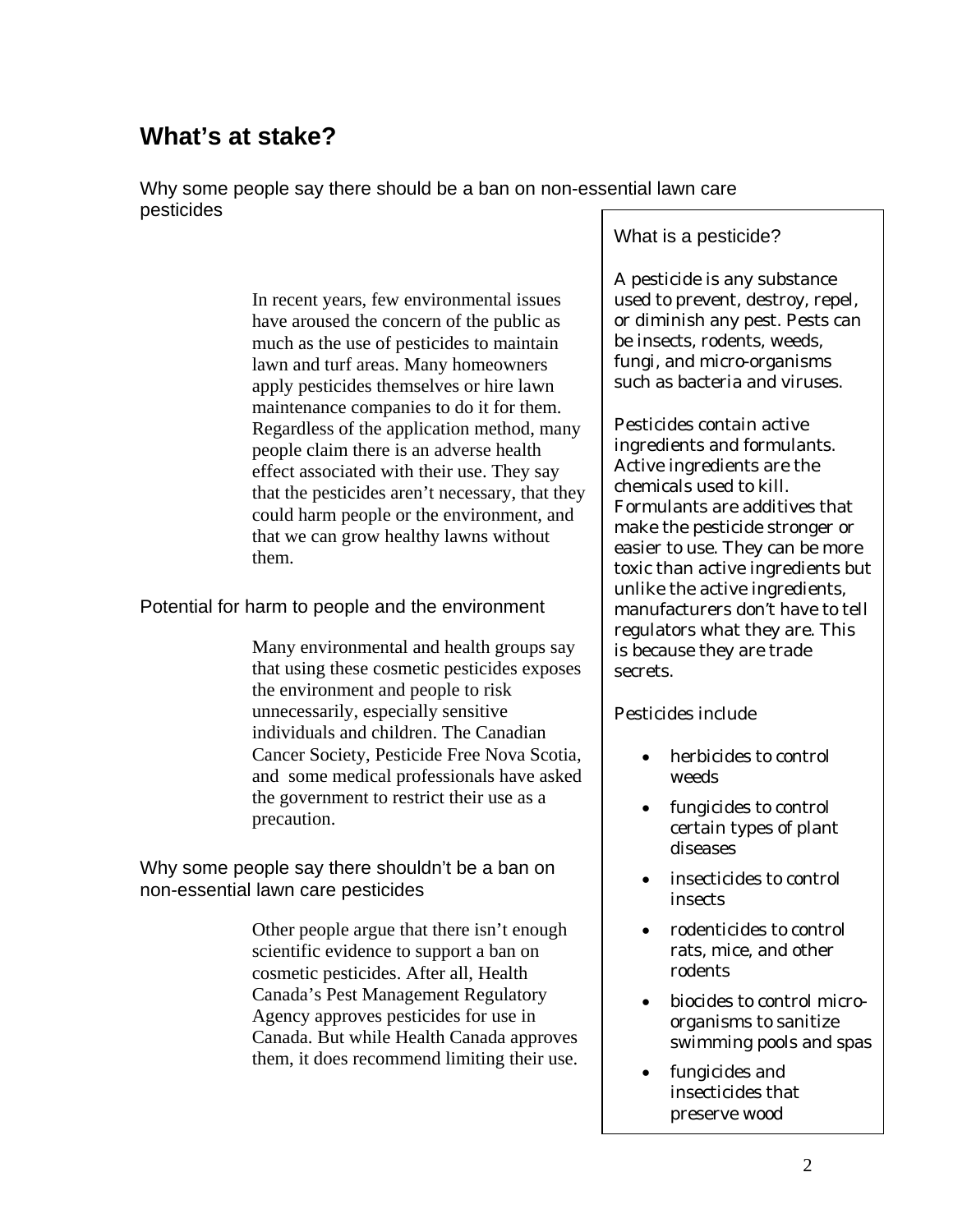## **What's at stake?**

Why some people say there should be a ban on non-essential lawn care pesticides

> In recent years, few environmental issues have aroused the concern of the public as much as the use of pesticides to maintain lawn and turf areas. Many homeowners apply pesticides themselves or hire lawn maintenance companies to do it for them. Regardless of the application method, many people claim there is an adverse health effect associated with their use. They say that the pesticides aren't necessary, that they could harm people or the environment, and that we can grow healthy lawns without them.

Potential for harm to people and the environment

Many environmental and health groups say that using these cosmetic pesticides exposes the environment and people to risk unnecessarily, especially sensitive individuals and children. The Canadian Cancer Society, Pesticide Free Nova Scotia, and some medical professionals have asked the government to restrict their use as a precaution.

Why some people say there shouldn't be a ban on non-essential lawn care pesticides

> Other people argue that there isn't enough scientific evidence to support a ban on cosmetic pesticides. After all, Health Canada's Pest Management Regulatory Agency approves pesticides for use in Canada. But while Health Canada approves them, it does recommend limiting their use.

## What is a pesticide?

A pesticide is any substance used to prevent, destroy, repel, or diminish any pest. Pests can be insects, rodents, weeds, fungi, and micro-organisms such as bacteria and viruses.

Pesticides contain active ingredients and formulants. Active ingredients are the chemicals used to kill. Formulants are additives that make the pesticide stronger or easier to use. They can be more toxic than active ingredients but unlike the active ingredients, manufacturers don't have to tell regulators what they are. This is because they are trade secrets.

Pesticides include

- herbicides to control weeds
- fungicides to control certain types of plant diseases
- insecticides to control insects
- rodenticides to control rats, mice, and other rodents
- biocides to control microorganisms to sanitize swimming pools and spas
- fungicides and insecticides that preserve wood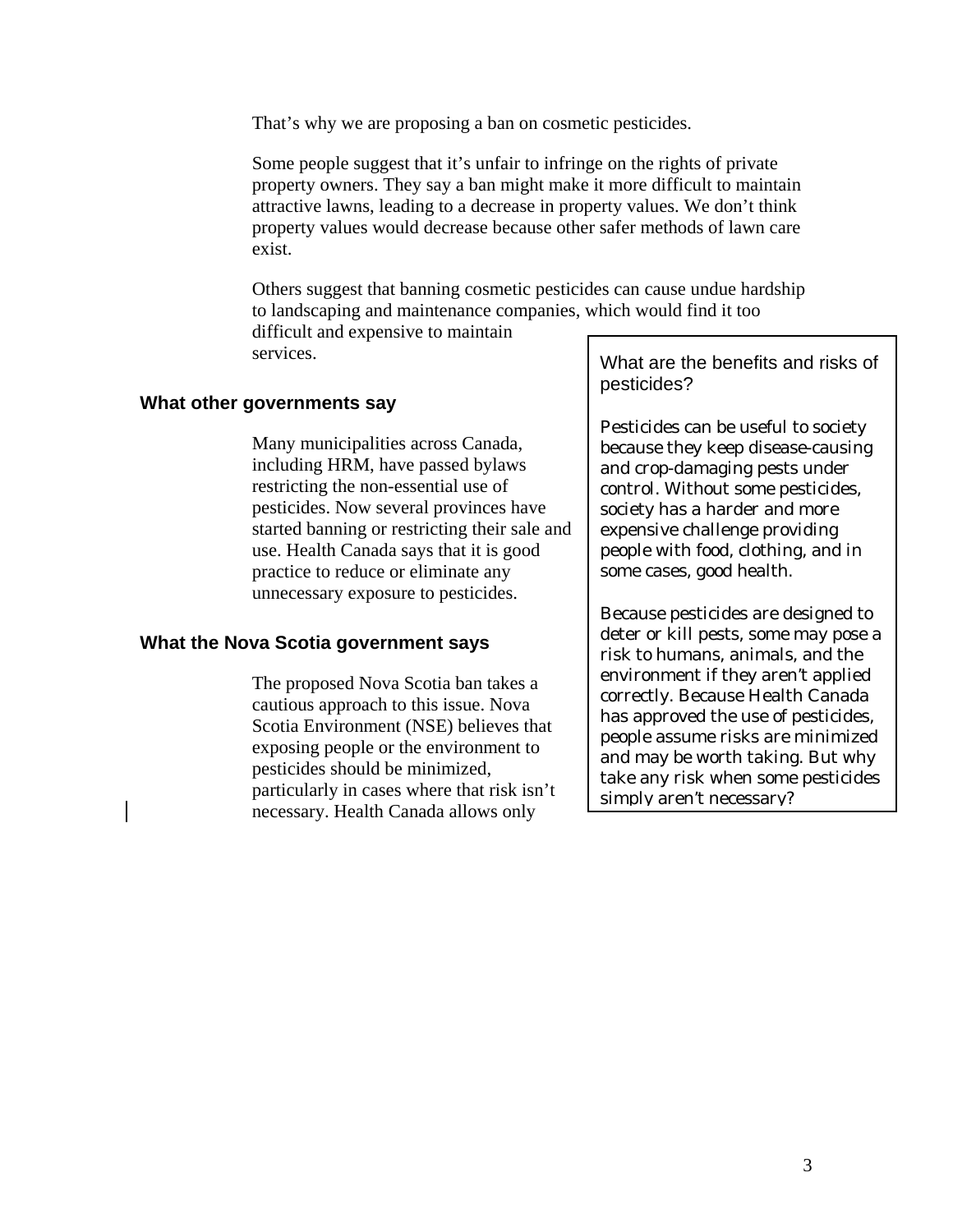That's why we are proposing a ban on cosmetic pesticides.

Some people suggest that it's unfair to infringe on the rights of private property owners. They say a ban might make it more difficult to maintain attractive lawns, leading to a decrease in property values. We don't think property values would decrease because other safer methods of lawn care exist.

Others suggest that banning cosmetic pesticides can cause undue hardship to landscaping and maintenance companies, which would find it too

difficult and expensive to maintain services.

## **What other governments say**

Many municipalities across Canada, including HRM, have passed bylaws restricting the non-essential use of pesticides. Now several provinces have started banning or restricting their sale and use. Health Canada says that it is good practice to reduce or eliminate any unnecessary exposure to pesticides.

#### **What the Nova Scotia government says**

The proposed Nova Scotia ban takes a cautious approach to this issue. Nova Scotia Environment (NSE) believes that exposing people or the environment to pesticides should be minimized, particularly in cases where that risk isn't necessary. Health Canada allows only

What are the benefits and risks of pesticides?

Pesticides can be useful to society because they keep disease-causing and crop-damaging pests under control. Without some pesticides, society has a harder and more expensive challenge providing people with food, clothing, and in some cases, good health.

Because pesticides are designed to deter or kill pests, some may pose a risk to humans, animals, and the environment if they aren't applied correctly. Because Health Canada has approved the use of pesticides, people assume risks are minimized and may be worth taking. But why take any risk when some pesticides simply aren't necessary?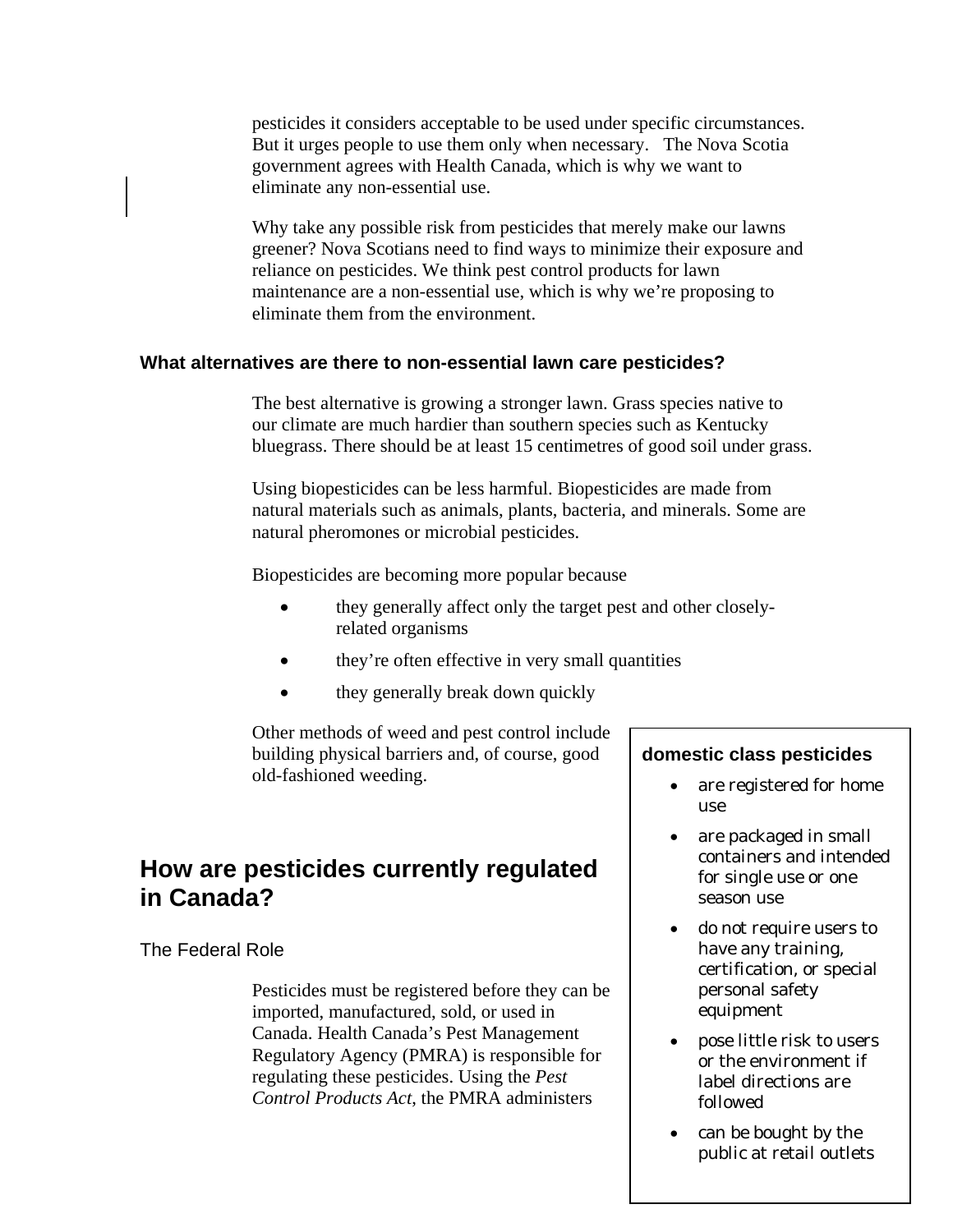pesticides it considers acceptable to be used under specific circumstances. But it urges people to use them only when necessary. The Nova Scotia government agrees with Health Canada, which is why we want to eliminate any non-essential use.

Why take any possible risk from pesticides that merely make our lawns greener? Nova Scotians need to find ways to minimize their exposure and reliance on pesticides. We think pest control products for lawn maintenance are a non-essential use, which is why we're proposing to eliminate them from the environment.

#### **What alternatives are there to non-essential lawn care pesticides?**

The best alternative is growing a stronger lawn. Grass species native to our climate are much hardier than southern species such as Kentucky bluegrass. There should be at least 15 centimetres of good soil under grass.

Using biopesticides can be less harmful. Biopesticides are made from natural materials such as animals, plants, bacteria, and minerals. Some are natural pheromones or microbial pesticides.

Biopesticides are becoming more popular because

- they generally affect only the target pest and other closelyrelated organisms
- they're often effective in very small quantities
- they generally break down quickly

Other methods of weed and pest control include building physical barriers and, of course, good old-fashioned weeding.

## **How are pesticides currently regulated in Canada?**

#### The Federal Role

Pesticides must be registered before they can be imported, manufactured, sold, or used in Canada. Health Canada's Pest Management Regulatory Agency (PMRA) is responsible for regulating these pesticides. Using the *Pest Control Products Act*, the PMRA administers

#### **domestic class pesticides**

- are registered for home use
- are packaged in small containers and intended for single use or one season use
- do not require users to have any training, certification, or special personal safety equipment
- pose little risk to users or the environment if label directions are followed
- 4 public at retail outlets can be bought by the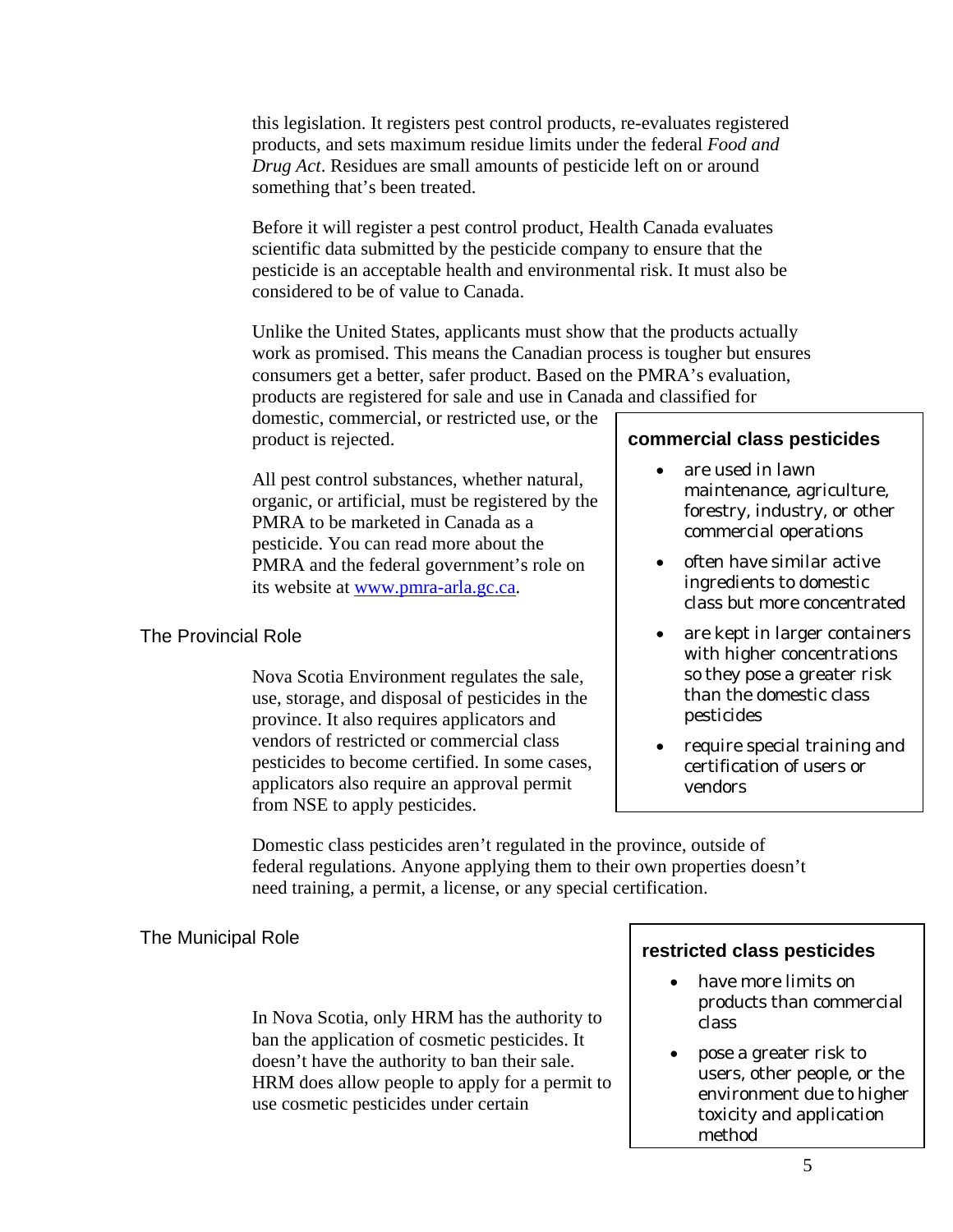this legislation. It registers pest control products, re-evaluates registered products, and sets maximum residue limits under the federal *Food and Drug Act*. Residues are small amounts of pesticide left on or around something that's been treated.

Before it will register a pest control product, Health Canada evaluates scientific data submitted by the pesticide company to ensure that the pesticide is an acceptable health and environmental risk. It must also be considered to be of value to Canada.

Unlike the United States, applicants must show that the products actually work as promised. This means the Canadian process is tougher but ensures consumers get a better, safer product. Based on the PMRA's evaluation, products are registered for sale and use in Canada and classified for

domestic, commercial, or restricted use, or the product is rejected.

All pest control substances, whether natural, organic, or artificial, must be registered by the PMRA to be marketed in Canada as a pesticide. You can read more about the PMRA and the federal government's role on its website at www.pmra-arla.gc.ca.

## The Provincial Role

Nova Scotia Environment regulates the sale, use, storage, and disposal of pesticides in the province. It also requires applicators and vendors of restricted or commercial class pesticides to become certified. In some cases, applicators also require an approval permit from NSE to apply pesticides.

## **commercial class pesticides**

- are used in lawn maintenance, agriculture, forestry, industry, or other commercial operations
- often have similar active ingredients to domestic class but more concentrated
- are kept in larger containers with higher concentrations so they pose a greater risk than the domestic class pesticides
- require special training and certification of users or vendors

Domestic class pesticides aren't regulated in the province, outside of federal regulations. Anyone applying them to their own properties doesn't need training, a permit, a license, or any special certification.

## The Municipal Role

In Nova Scotia, only HRM has the authority to ban the application of cosmetic pesticides. It doesn't have the authority to ban their sale. HRM does allow people to apply for a permit to use cosmetic pesticides under certain

## **restricted class pesticides**

- have more limits on products than commercial class
- pose a greater risk to users, other people, or the environment due to higher toxicity and application method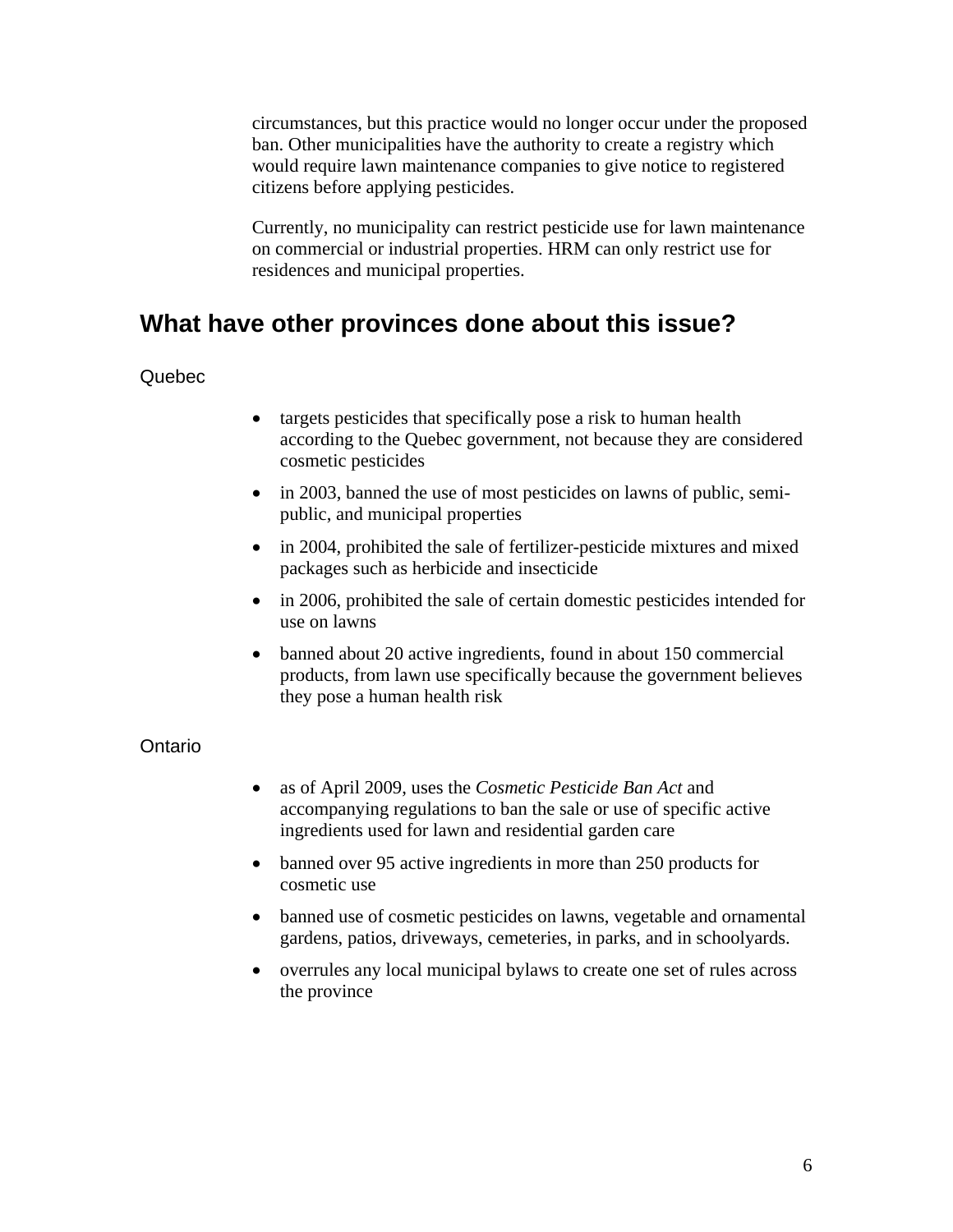circumstances, but this practice would no longer occur under the proposed ban. Other municipalities have the authority to create a registry which would require lawn maintenance companies to give notice to registered citizens before applying pesticides.

Currently, no municipality can restrict pesticide use for lawn maintenance on commercial or industrial properties. HRM can only restrict use for residences and municipal properties.

## **What have other provinces done about this issue?**

### Quebec

- targets pesticides that specifically pose a risk to human health according to the Quebec government, not because they are considered cosmetic pesticides
- in 2003, banned the use of most pesticides on lawns of public, semipublic, and municipal properties
- in 2004, prohibited the sale of fertilizer-pesticide mixtures and mixed packages such as herbicide and insecticide
- in 2006, prohibited the sale of certain domestic pesticides intended for use on lawns
- banned about 20 active ingredients, found in about 150 commercial products, from lawn use specifically because the government believes they pose a human health risk

### **Ontario**

- as of April 2009, uses the *Cosmetic Pesticide Ban Act* and accompanying regulations to ban the sale or use of specific active ingredients used for lawn and residential garden care
- banned over 95 active ingredients in more than 250 products for cosmetic use
- banned use of cosmetic pesticides on lawns, vegetable and ornamental gardens, patios, driveways, cemeteries, in parks, and in schoolyards.
- overrules any local municipal bylaws to create one set of rules across the province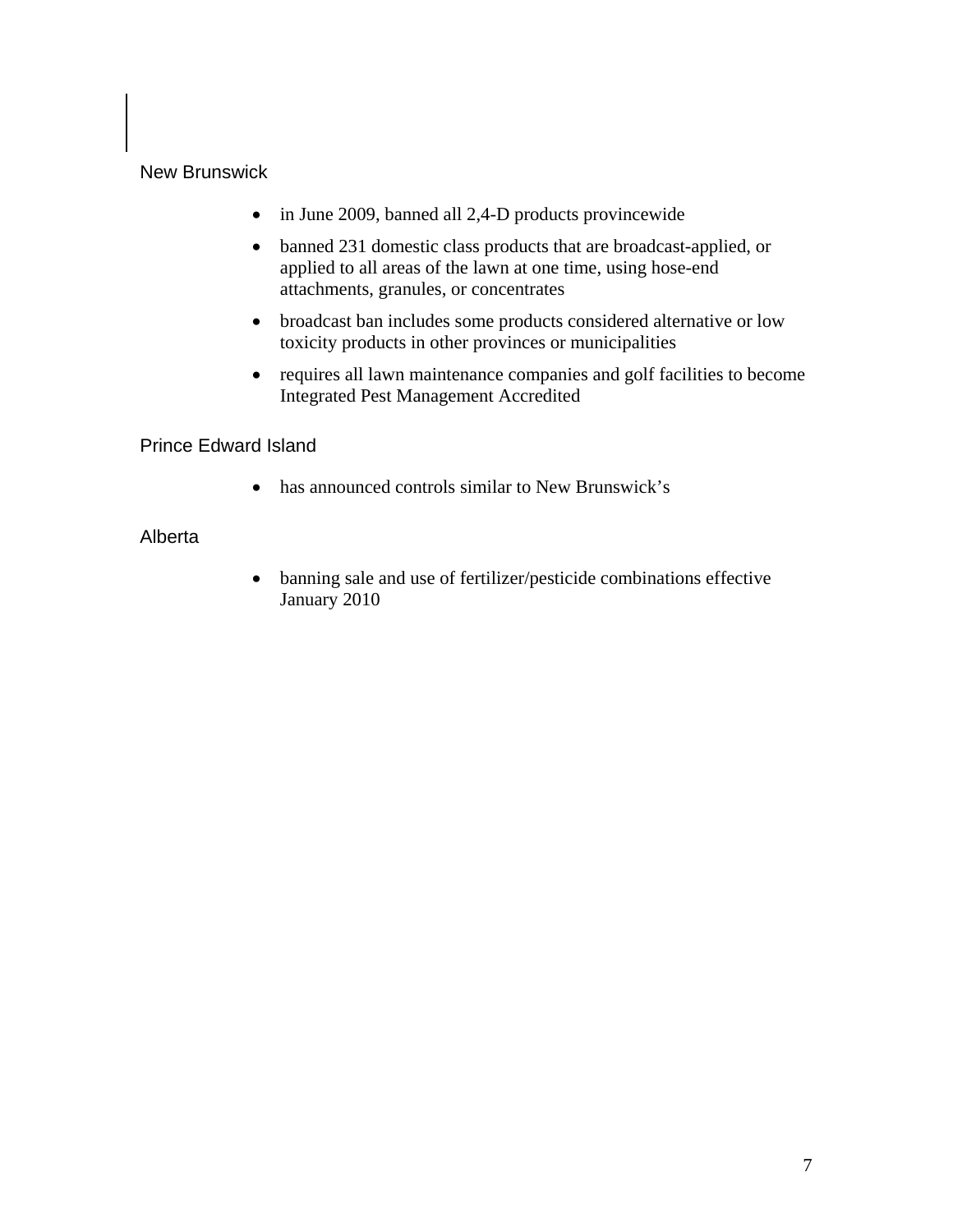## New Brunswick

- in June 2009, banned all 2,4-D products provincewide
- banned 231 domestic class products that are broadcast-applied, or applied to all areas of the lawn at one time, using hose-end attachments, granules, or concentrates
- broadcast ban includes some products considered alternative or low toxicity products in other provinces or municipalities
- requires all lawn maintenance companies and golf facilities to become Integrated Pest Management Accredited

Prince Edward Island

• has announced controls similar to New Brunswick's

## Alberta

• banning sale and use of fertilizer/pesticide combinations effective January 2010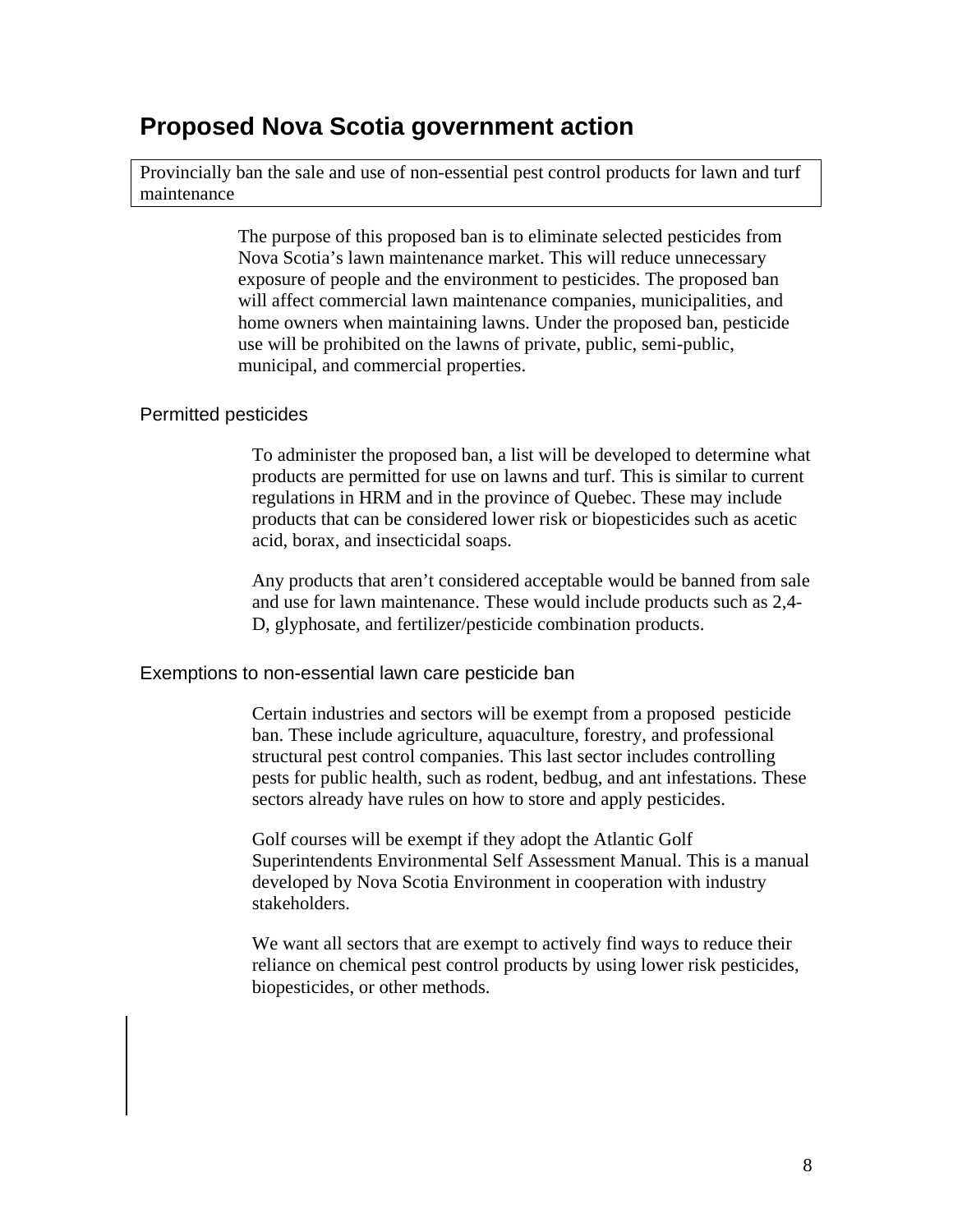## **Proposed Nova Scotia government action**

Provincially ban the sale and use of non-essential pest control products for lawn and turf maintenance

> The purpose of this proposed ban is to eliminate selected pesticides from Nova Scotia's lawn maintenance market. This will reduce unnecessary exposure of people and the environment to pesticides. The proposed ban will affect commercial lawn maintenance companies, municipalities, and home owners when maintaining lawns. Under the proposed ban, pesticide use will be prohibited on the lawns of private, public, semi-public, municipal, and commercial properties.

### Permitted pesticides

To administer the proposed ban, a list will be developed to determine what products are permitted for use on lawns and turf. This is similar to current regulations in HRM and in the province of Quebec. These may include products that can be considered lower risk or biopesticides such as acetic acid, borax, and insecticidal soaps.

Any products that aren't considered acceptable would be banned from sale and use for lawn maintenance. These would include products such as 2,4- D, glyphosate, and fertilizer/pesticide combination products.

### Exemptions to non-essential lawn care pesticide ban

Certain industries and sectors will be exempt from a proposed pesticide ban. These include agriculture, aquaculture, forestry, and professional structural pest control companies. This last sector includes controlling pests for public health, such as rodent, bedbug, and ant infestations. These sectors already have rules on how to store and apply pesticides.

Golf courses will be exempt if they adopt the Atlantic Golf Superintendents Environmental Self Assessment Manual. This is a manual developed by Nova Scotia Environment in cooperation with industry stakeholders.

We want all sectors that are exempt to actively find ways to reduce their reliance on chemical pest control products by using lower risk pesticides, biopesticides, or other methods.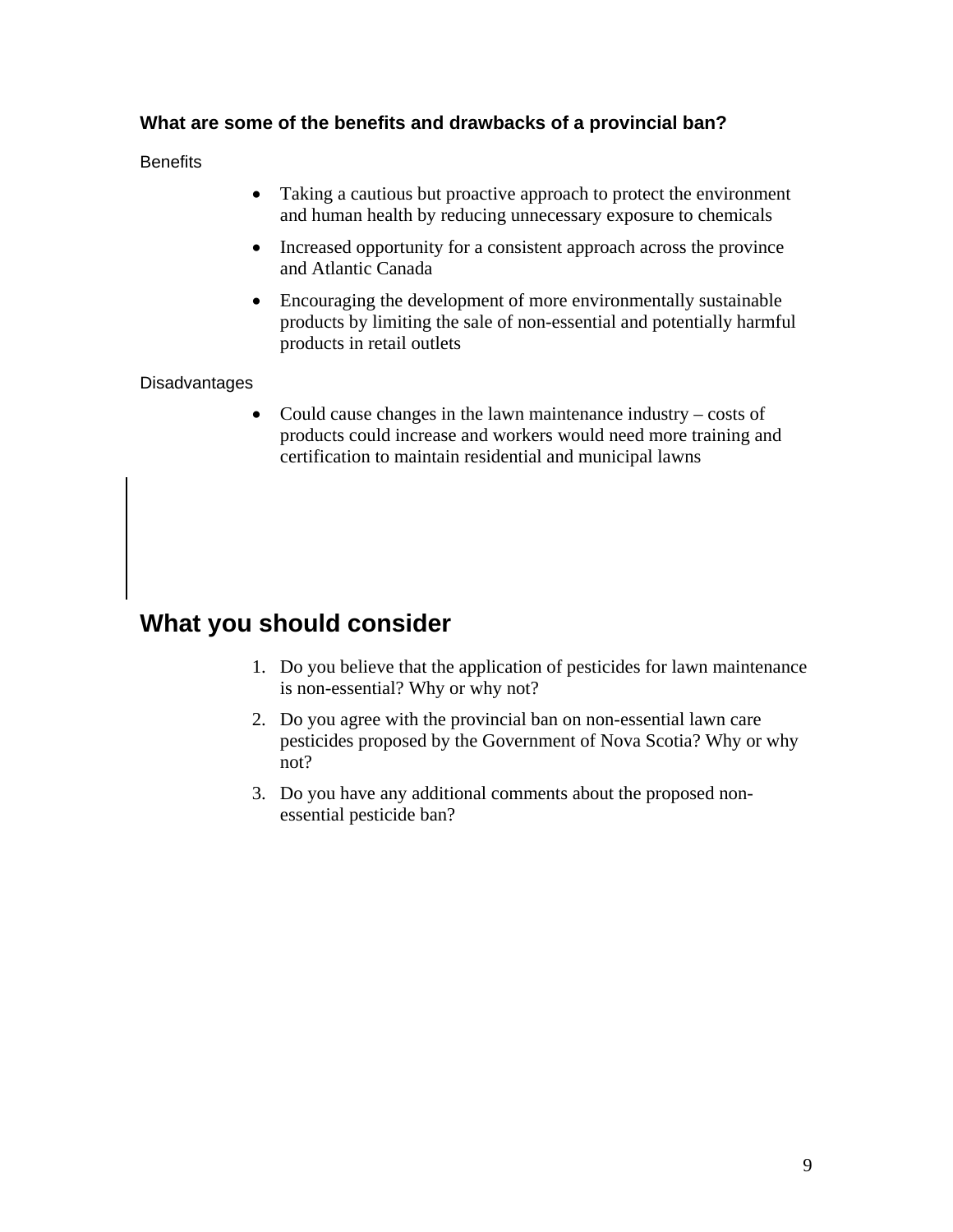## **What are some of the benefits and drawbacks of a provincial ban?**

**Benefits** 

- Taking a cautious but proactive approach to protect the environment and human health by reducing unnecessary exposure to chemicals
- Increased opportunity for a consistent approach across the province and Atlantic Canada
- Encouraging the development of more environmentally sustainable products by limiting the sale of non-essential and potentially harmful products in retail outlets

## **Disadvantages**

• Could cause changes in the lawn maintenance industry – costs of products could increase and workers would need more training and certification to maintain residential and municipal lawns

## **What you should consider**

- 1. Do you believe that the application of pesticides for lawn maintenance is non-essential? Why or why not?
- 2. Do you agree with the provincial ban on non-essential lawn care pesticides proposed by the Government of Nova Scotia? Why or why not?
- 3. Do you have any additional comments about the proposed nonessential pesticide ban?